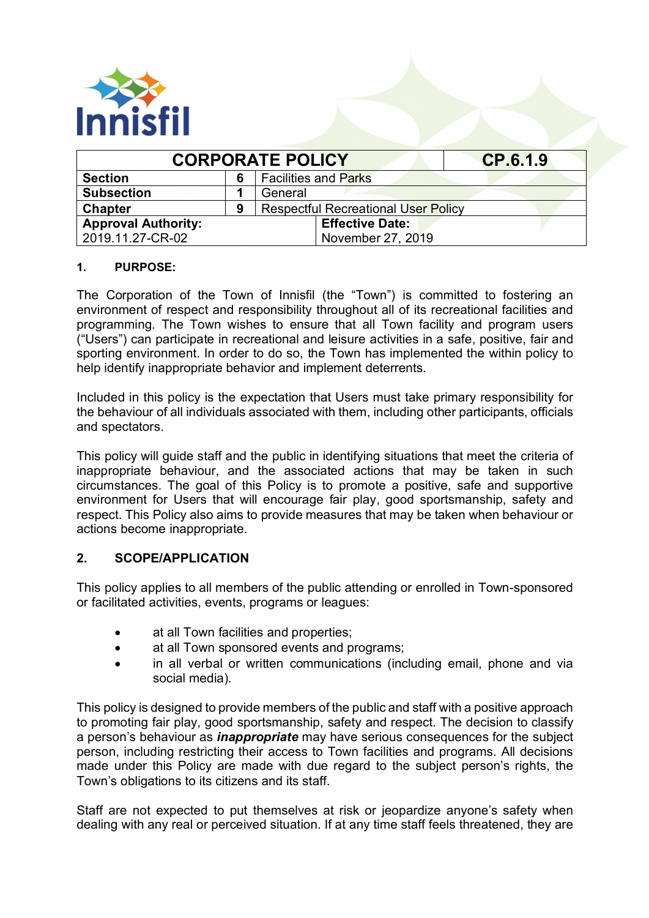

| <b>CORPORATE POLICY</b>    | CP.6.1.9 |                                            |  |  |
|----------------------------|----------|--------------------------------------------|--|--|
| <b>Section</b>             | 6        | <b>Facilities and Parks</b>                |  |  |
| <b>Subsection</b>          |          | General                                    |  |  |
| <b>Chapter</b>             | 9        | <b>Respectful Recreational User Policy</b> |  |  |
| <b>Approval Authority:</b> |          | <b>Effective Date:</b>                     |  |  |
| 2019.11.27-CR-02           |          | November 27, 2019                          |  |  |

#### **1. PURPOSE:**

The Corporation of the Town of Innisfil (the "Town") is committed to fostering an environment of respect and responsibility throughout all of its recreational facilities and programming. The Town wishes to ensure that all Town facility and program users ("Users") can participate in recreational and leisure activities in a safe, positive, fair and sporting environment. In order to do so, the Town has implemented the within policy to help identify inappropriate behavior and implement deterrents.

Included in this policy is the expectation that Users must take primary responsibility for the behaviour of all individuals associated with them, including other participants, officials and spectators.

This policy will guide staff and the public in identifying situations that meet the criteria of inappropriate behaviour, and the associated actions that may be taken in such circumstances. The goal of this Policy is to promote a positive, safe and supportive environment for Users that will encourage fair play, good sportsmanship, safety and respect. This Policy also aims to provide measures that may be taken when behaviour or actions become inappropriate.

## **2. SCOPE/APPLICATION**

This policy applies to all members of the public attending or enrolled in Town-sponsored or facilitated activities, events, programs or leagues:

- at all Town facilities and properties;
- at all Town sponsored events and programs;
- in all verbal or written communications (including email, phone and via social media).

This policy is designed to provide members of the public and staff with a positive approach to promoting fair play, good sportsmanship, safety and respect. The decision to classify a person's behaviour as *inappropriate* may have serious consequences for the subject person, including restricting their access to Town facilities and programs. All decisions made under this Policy are made with due regard to the subject person's rights, the Town's obligations to its citizens and its staff.

Staff are not expected to put themselves at risk or jeopardize anyone's safety when dealing with any real or perceived situation. If at any time staff feels threatened, they are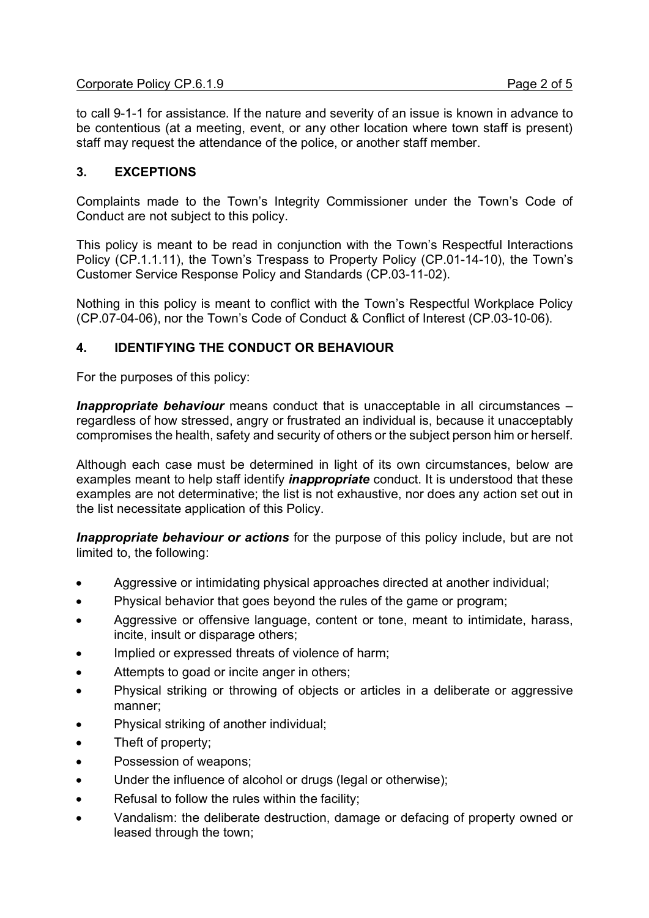to call 9-1-1 for assistance. If the nature and severity of an issue is known in advance to be contentious (at a meeting, event, or any other location where town staff is present) staff may request the attendance of the police, or another staff member.

### **3. EXCEPTIONS**

Complaints made to the Town's Integrity Commissioner under the Town's Code of Conduct are not subject to this policy.

This policy is meant to be read in conjunction with the Town's Respectful Interactions Policy (CP.1.1.11), the Town's Trespass to Property Policy (CP.01-14-10), the Town's Customer Service Response Policy and Standards (CP.03-11-02).

Nothing in this policy is meant to conflict with the Town's Respectful Workplace Policy (CP.07-04-06), nor the Town's Code of Conduct & Conflict of Interest (CP.03-10-06).

#### **4. IDENTIFYING THE CONDUCT OR BEHAVIOUR**

For the purposes of this policy:

*Inappropriate behaviour* means conduct that is unacceptable in all circumstances – regardless of how stressed, angry or frustrated an individual is, because it unacceptably compromises the health, safety and security of others or the subject person him or herself.

Although each case must be determined in light of its own circumstances, below are examples meant to help staff identify *inappropriate* conduct. It is understood that these examples are not determinative; the list is not exhaustive, nor does any action set out in the list necessitate application of this Policy.

*Inappropriate behaviour or actions* for the purpose of this policy include, but are not limited to, the following:

- · Aggressive or intimidating physical approaches directed at another individual;
- · Physical behavior that goes beyond the rules of the game or program;
- Aggressive or offensive language, content or tone, meant to intimidate, harass, incite, insult or disparage others;
- Implied or expressed threats of violence of harm;
- Attempts to goad or incite anger in others;
- Physical striking or throwing of objects or articles in a deliberate or aggressive manner;
- Physical striking of another individual;
- Theft of property;
- Possession of weapons;
- Under the influence of alcohol or drugs (legal or otherwise);
- Refusal to follow the rules within the facility;
- Vandalism: the deliberate destruction, damage or defacing of property owned or leased through the town;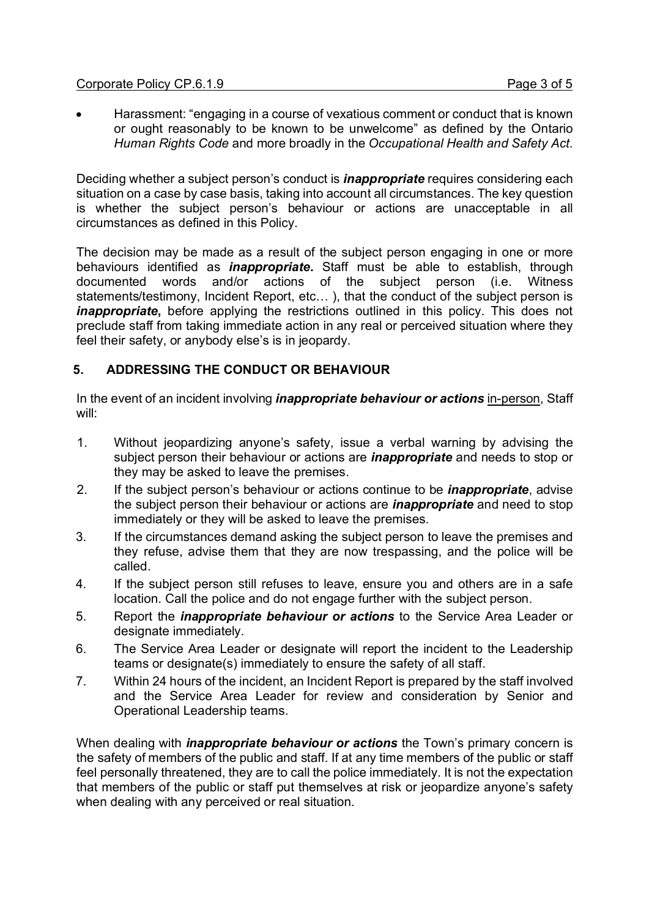#### Corporate Policy CP.6.1.9 **Page 3 of 5**

· Harassment: "engaging in a course of vexatious comment or conduct that is known or ought reasonably to be known to be unwelcome" as defined by the Ontario *Human Rights Code* and more broadly in the *Occupational Health and Safety Act*.

Deciding whether a subject person's conduct is *inappropriate* requires considering each situation on a case by case basis, taking into account all circumstances. The key question is whether the subject person's behaviour or actions are unacceptable in all circumstances as defined in this Policy.

The decision may be made as a result of the subject person engaging in one or more behaviours identified as *inappropriate***.** Staff must be able to establish, through documented words and/or actions of the subject person (i.e. Witness statements/testimony, Incident Report, etc… ), that the conduct of the subject person is *inappropriate*, before applying the restrictions outlined in this policy. This does not preclude staff from taking immediate action in any real or perceived situation where they feel their safety, or anybody else's is in jeopardy.

# **5. ADDRESSING THE CONDUCT OR BEHAVIOUR**

In the event of an incident involving *inappropriate behaviour or actions* in-person, Staff will:

- 1. Without jeopardizing anyone's safety, issue a verbal warning by advising the subject person their behaviour or actions are *inappropriate* and needs to stop or they may be asked to leave the premises.
- 2. If the subject person's behaviour or actions continue to be *inappropriate*, advise the subject person their behaviour or actions are *inappropriate* and need to stop immediately or they will be asked to leave the premises.
- 3. If the circumstances demand asking the subject person to leave the premises and they refuse, advise them that they are now trespassing, and the police will be called.
- 4. If the subject person still refuses to leave, ensure you and others are in a safe location. Call the police and do not engage further with the subject person.
- 5. Report the *inappropriate behaviour or actions* to the Service Area Leader or designate immediately.
- 6. The Service Area Leader or designate will report the incident to the Leadership teams or designate(s) immediately to ensure the safety of all staff.
- 7. Within 24 hours of the incident, an Incident Report is prepared by the staff involved and the Service Area Leader for review and consideration by Senior and Operational Leadership teams.

When dealing with *inappropriate behaviour or actions* the Town's primary concern is the safety of members of the public and staff. If at any time members of the public or staff feel personally threatened, they are to call the police immediately. It is not the expectation that members of the public or staff put themselves at risk or jeopardize anyone's safety when dealing with any perceived or real situation.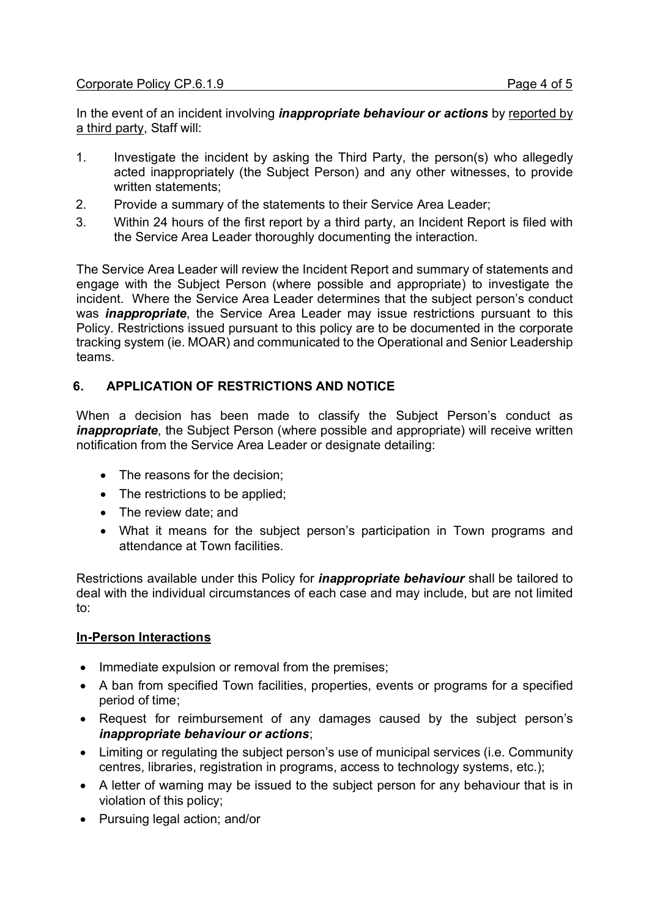#### Corporate Policy CP.6.1.9 **Page 4 of 5**

In the event of an incident involving *inappropriate behaviour or actions* by reported by a third party, Staff will:

- 1. Investigate the incident by asking the Third Party, the person(s) who allegedly acted inappropriately (the Subject Person) and any other witnesses, to provide written statements;
- 2. Provide a summary of the statements to their Service Area Leader;
- 3. Within 24 hours of the first report by a third party, an Incident Report is filed with the Service Area Leader thoroughly documenting the interaction.

The Service Area Leader will review the Incident Report and summary of statements and engage with the Subject Person (where possible and appropriate) to investigate the incident. Where the Service Area Leader determines that the subject person's conduct was *inappropriate*, the Service Area Leader may issue restrictions pursuant to this Policy. Restrictions issued pursuant to this policy are to be documented in the corporate tracking system (ie. MOAR) and communicated to the Operational and Senior Leadership teams.

## **6. APPLICATION OF RESTRICTIONS AND NOTICE**

When a decision has been made to classify the Subject Person's conduct as *inappropriate*, the Subject Person (where possible and appropriate) will receive written notification from the Service Area Leader or designate detailing:

- The reasons for the decision:
- The restrictions to be applied;
- The review date: and
- · What it means for the subject person's participation in Town programs and attendance at Town facilities.

Restrictions available under this Policy for *inappropriate behaviour* shall be tailored to deal with the individual circumstances of each case and may include, but are not limited to:

#### **In-Person Interactions**

- · Immediate expulsion or removal from the premises;
- · A ban from specified Town facilities, properties, events or programs for a specified period of time;
- · Request for reimbursement of any damages caused by the subject person's *inappropriate behaviour or actions*;
- · Limiting or regulating the subject person's use of municipal services (i.e. Community centres, libraries, registration in programs, access to technology systems, etc.);
- A letter of warning may be issued to the subiect person for any behaviour that is in violation of this policy;
- · Pursuing legal action; and/or